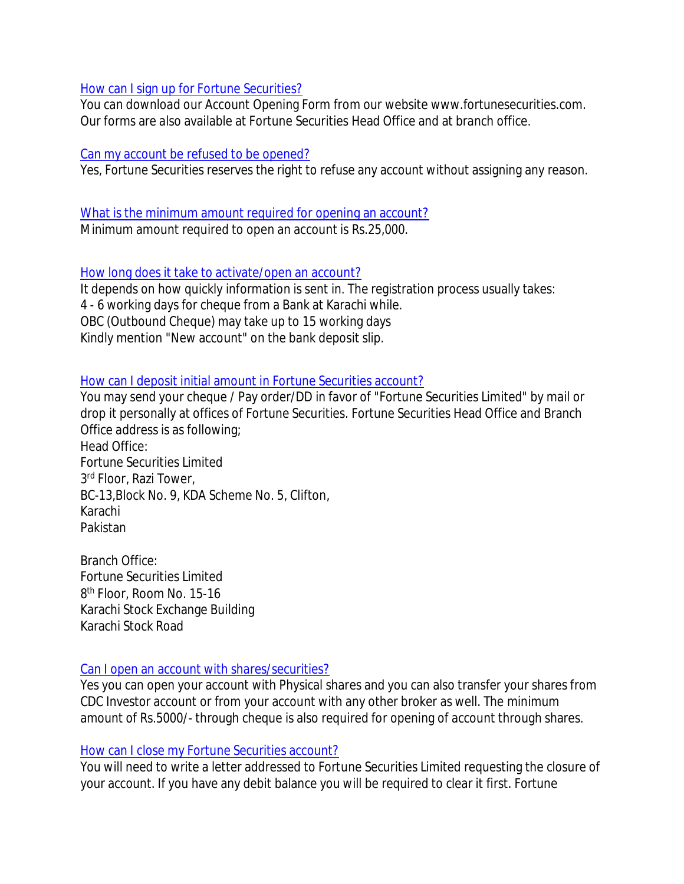#### How can I sign up for Fortune Securities?

You can download our Account Opening Form from our website www.fortunesecurities.com. Our forms are also available at Fortune Securities Head Office and at branch office.

#### Can my account be refused to be opened?

Yes, Fortune Securities reserves the right to refuse any account without assigning any reason.

# What is the minimum amount required for opening an account?

Minimum amount required to open an account is Rs.25,000.

# How long does it take to activate/open an account?

It depends on how quickly information is sent in. The registration process usually takes: 4 - 6 working days for cheque from a Bank at Karachi while. OBC (Outbound Cheque) may take up to 15 working days Kindly mention "New account" on the bank deposit slip.

# How can I deposit initial amount in Fortune Securities account?

You may send your cheque / Pay order/DD in favor of "Fortune Securities Limited" by mail or drop it personally at offices of Fortune Securities. Fortune Securities Head Office and Branch Office address is as following; Head Office: Fortune Securities Limited 3 rd Floor, Razi Tower, BC-13,Block No. 9, KDA Scheme No. 5, Clifton,

Karachi Pakistan

Branch Office: Fortune Securities Limited 8 th Floor, Room No. 15-16 Karachi Stock Exchange Building Karachi Stock Road

## Can I open an account with shares/securities?

Yes you can open your account with Physical shares and you can also transfer your shares from CDC Investor account or from your account with any other broker as well. The minimum amount of Rs.5000/- through cheque is also required for opening of account through shares.

## How can I close my Fortune Securities account?

You will need to write a letter addressed to Fortune Securities Limited requesting the closure of your account. If you have any debit balance you will be required to clear it first. Fortune